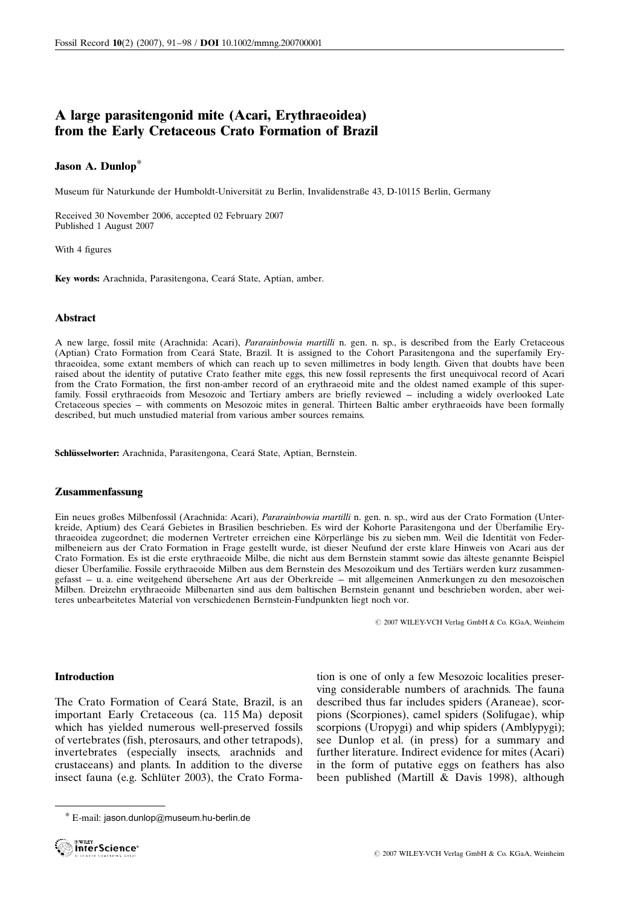# A large parasitengonid mite (Acari, Erythraeoidea) from the Early Cretaceous Crato Formation of Brazil

# Jason A. Dunlop\*

Museum für Naturkunde der Humboldt-Universität zu Berlin, Invalidenstraße 43, D-10115 Berlin, Germany

Received 30 November 2006, accepted 02 February 2007 Published 1 August 2007

With 4 figures

Key words: Arachnida, Parasitengona, Ceará State, Aptian, amber.

## Abstract

A new large, fossil mite (Arachnida: Acari), Pararainbowia martilli n. gen. n. sp., is described from the Early Cretaceous (Aptian) Crato Formation from Ceara´ State, Brazil. It is assigned to the Cohort Parasitengona and the superfamily Erythraeoidea, some extant members of which can reach up to seven millimetres in body length. Given that doubts have been raised about the identity of putative Crato feather mite eggs, this new fossil represents the first unequivocal record of Acari from the Crato Formation, the first non-amber record of an erythraeoid mite and the oldest named example of this superfamily. Fossil erythraeoids from Mesozoic and Tertiary ambers are briefly reviewed – including a widely overlooked Late Cretaceous species –– with comments on Mesozoic mites in general. Thirteen Baltic amber erythraeoids have been formally described, but much unstudied material from various amber sources remains.

Schlüsselworter: Arachnida, Parasitengona, Ceará State, Aptian, Bernstein.

# Zusammenfassung

Ein neues großes Milbenfossil (Arachnida: Acari), Pararainbowia martilli n. gen. n. sp., wird aus der Crato Formation (Unterkreide, Aptium) des Ceará Gebietes in Brasilien beschrieben. Es wird der Kohorte Parasitengona und der Überfamilie Erythraeoidea zugeordnet; die modernen Vertreter erreichen eine Körperlänge bis zu sieben mm. Weil die Identität von Federmilbeneiern aus der Crato Formation in Frage gestellt wurde, ist dieser Neufund der erste klare Hinweis von Acari aus der Crato Formation. Es ist die erste erythraeoide Milbe, die nicht aus dem Bernstein stammt sowie das älteste genannte Beispiel dieser Überfamilie. Fossile erythraeoide Milben aus dem Bernstein des Mesozoikum und des Tertiärs werden kurz zusammengefasst – u. a. eine weitgehend übersehene Art aus der Oberkreide – mit allgemeinen Anmerkungen zu den mesozoischen Milben. Dreizehn erythraeoide Milbenarten sind aus dem baltischen Bernstein genannt und beschrieben worden, aber weiteres unbearbeitetes Material von verschiedenen Bernstein-Fundpunkten liegt noch vor.

 $© 2007 WILEY-VCH Verlag GmbH & Co. KGaA, Weinheim$ 

# Introduction

The Crato Formation of Ceará State, Brazil, is an important Early Cretaceous (ca. 115 Ma) deposit which has yielded numerous well-preserved fossils of vertebrates (fish, pterosaurs, and other tetrapods), invertebrates (especially insects, arachnids and crustaceans) and plants. In addition to the diverse insect fauna (e.g. Schlüter 2003), the Crato Formation is one of only a few Mesozoic localities preserving considerable numbers of arachnids. The fauna described thus far includes spiders (Araneae), scorpions (Scorpiones), camel spiders (Solifugae), whip scorpions (Uropygi) and whip spiders (Amblypygi); see Dunlop et al. (in press) for a summary and further literature. Indirect evidence for mites (Acari) in the form of putative eggs on feathers has also been published (Martill & Davis 1998), although

 $*$  E-mail: jason.dunlop@museum.hu-berlin.de

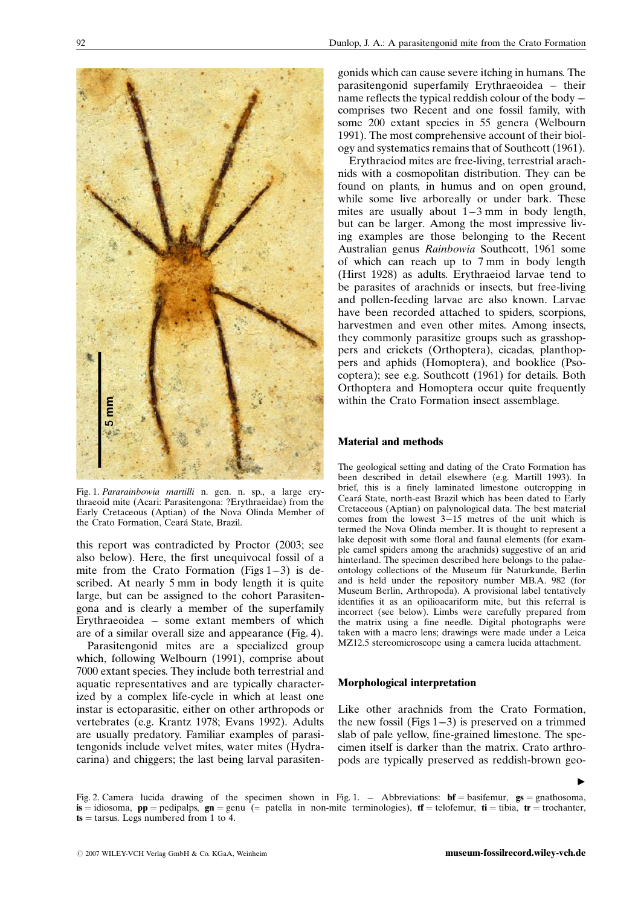

Fig. 1. Pararainbowia martilli n. gen. n. sp., a large erythraeoid mite (Acari: Parasitengona: ?Erythraeidae) from the Early Cretaceous (Aptian) of the Nova Olinda Member of the Crato Formation, Ceará State, Brazil.

this report was contradicted by Proctor (2003; see also below). Here, the first unequivocal fossil of a mite from the Crato Formation (Figs  $1-3$ ) is described. At nearly 5 mm in body length it is quite large, but can be assigned to the cohort Parasitengona and is clearly a member of the superfamily Erythraeoidea –– some extant members of which are of a similar overall size and appearance (Fig. 4).

Parasitengonid mites are a specialized group which, following Welbourn (1991), comprise about 7000 extant species. They include both terrestrial and aquatic representatives and are typically characterized by a complex life-cycle in which at least one instar is ectoparasitic, either on other arthropods or vertebrates (e.g. Krantz 1978; Evans 1992). Adults are usually predatory. Familiar examples of parasitengonids include velvet mites, water mites (Hydracarina) and chiggers; the last being larval parasitengonids which can cause severe itching in humans. The parasitengonid superfamily Erythraeoidea –– their name reflects the typical reddish colour of the body –– comprises two Recent and one fossil family, with some 200 extant species in 55 genera (Welbourn 1991). The most comprehensive account of their biology and systematics remains that of Southcott (1961).

Erythraeiod mites are free-living, terrestrial arachnids with a cosmopolitan distribution. They can be found on plants, in humus and on open ground, while some live arboreally or under bark. These mites are usually about  $1-3$  mm in body length, but can be larger. Among the most impressive living examples are those belonging to the Recent Australian genus Rainbowia Southcott, 1961 some of which can reach up to 7 mm in body length (Hirst 1928) as adults. Erythraeiod larvae tend to be parasites of arachnids or insects, but free-living and pollen-feeding larvae are also known. Larvae have been recorded attached to spiders, scorpions, harvestmen and even other mites. Among insects, they commonly parasitize groups such as grasshoppers and crickets (Orthoptera), cicadas, planthoppers and aphids (Homoptera), and booklice (Psocoptera); see e.g. Southcott (1961) for details. Both Orthoptera and Homoptera occur quite frequently within the Crato Formation insect assemblage.

# Material and methods

The geological setting and dating of the Crato Formation has been described in detail elsewhere (e.g. Martill 1993). In brief, this is a finely laminated limestone outcropping in Ceará State, north-east Brazil which has been dated to Early Cretaceous (Aptian) on palynological data. The best material comes from the lowest 3–15 metres of the unit which is termed the Nova Olinda member. It is thought to represent a lake deposit with some floral and faunal elements (for example camel spiders among the arachnids) suggestive of an arid hinterland. The specimen described here belongs to the palaeontology collections of the Museum für Naturkunde, Berlin and is held under the repository number MB.A. 982 (for Museum Berlin, Arthropoda). A provisional label tentatively identifies it as an opilioacariform mite, but this referral is incorrect (see below). Limbs were carefully prepared from the matrix using a fine needle. Digital photographs were taken with a macro lens; drawings were made under a Leica MZ12.5 stereomicroscope using a camera lucida attachment.

# Morphological interpretation

Like other arachnids from the Crato Formation, the new fossil (Figs  $1-3$ ) is preserved on a trimmed slab of pale yellow, fine-grained limestone. The specimen itself is darker than the matrix. Crato arthropods are typically preserved as reddish-brown geo-

Fig. 2. Camera lucida drawing of the specimen shown in Fig. 1. – Abbreviations:  $bf =$  basifemur,  $gs =$  gnathosoma, is = idiosoma, pp = pedipalps, gn = genu (= patella in non-mite terminologies), tf = telofemur, ti = tibia, tr = trochanter,  $\text{ts} = \text{tarsus}$ . Legs numbered from 1 to 4.

 $\blacktriangleright$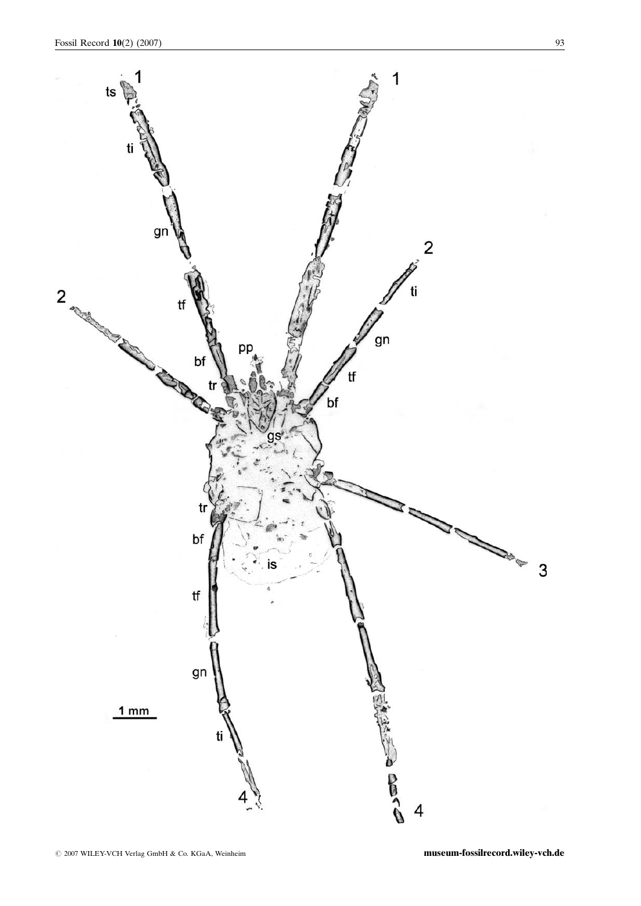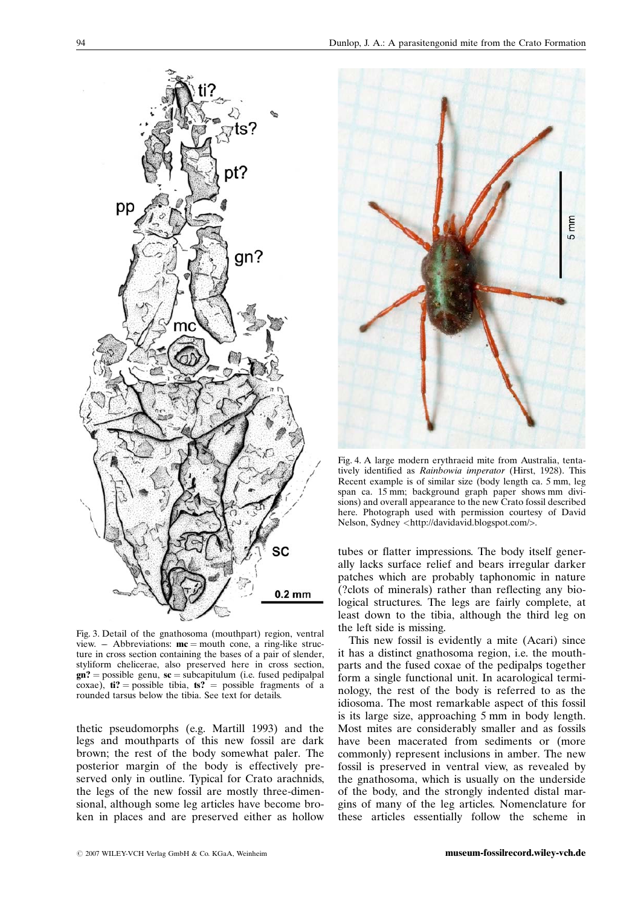

Fig. 3. Detail of the gnathosoma (mouthpart) region, ventral view. – Abbreviations:  $mc =$  mouth cone, a ring-like structure in cross section containing the bases of a pair of slender, styliform chelicerae, also preserved here in cross section,  $gn?$  = possible genu,  $sc$  = subcapitulum (i.e. fused pedipalpal coxae),  $\mathbf{t}$ **i**? = possible tibia,  $\mathbf{t}$ **s**? = possible fragments of a rounded tarsus below the tibia. See text for details.

thetic pseudomorphs (e.g. Martill 1993) and the legs and mouthparts of this new fossil are dark brown; the rest of the body somewhat paler. The posterior margin of the body is effectively preserved only in outline. Typical for Crato arachnids, the legs of the new fossil are mostly three-dimensional, although some leg articles have become broken in places and are preserved either as hollow



Fig. 4. A large modern erythraeid mite from Australia, tentatively identified as Rainbowia imperator (Hirst, 1928). This Recent example is of similar size (body length ca. 5 mm, leg span ca. 15 mm; background graph paper shows mm divisions) and overall appearance to the new Crato fossil described here. Photograph used with permission courtesy of David Nelson, Sydney <http://davidavid.blogspot.com/>.

tubes or flatter impressions. The body itself generally lacks surface relief and bears irregular darker patches which are probably taphonomic in nature (?clots of minerals) rather than reflecting any biological structures. The legs are fairly complete, at least down to the tibia, although the third leg on the left side is missing.

This new fossil is evidently a mite (Acari) since it has a distinct gnathosoma region, i.e. the mouthparts and the fused coxae of the pedipalps together form a single functional unit. In acarological terminology, the rest of the body is referred to as the idiosoma. The most remarkable aspect of this fossil is its large size, approaching 5 mm in body length. Most mites are considerably smaller and as fossils have been macerated from sediments or (more commonly) represent inclusions in amber. The new fossil is preserved in ventral view, as revealed by the gnathosoma, which is usually on the underside of the body, and the strongly indented distal margins of many of the leg articles. Nomenclature for these articles essentially follow the scheme in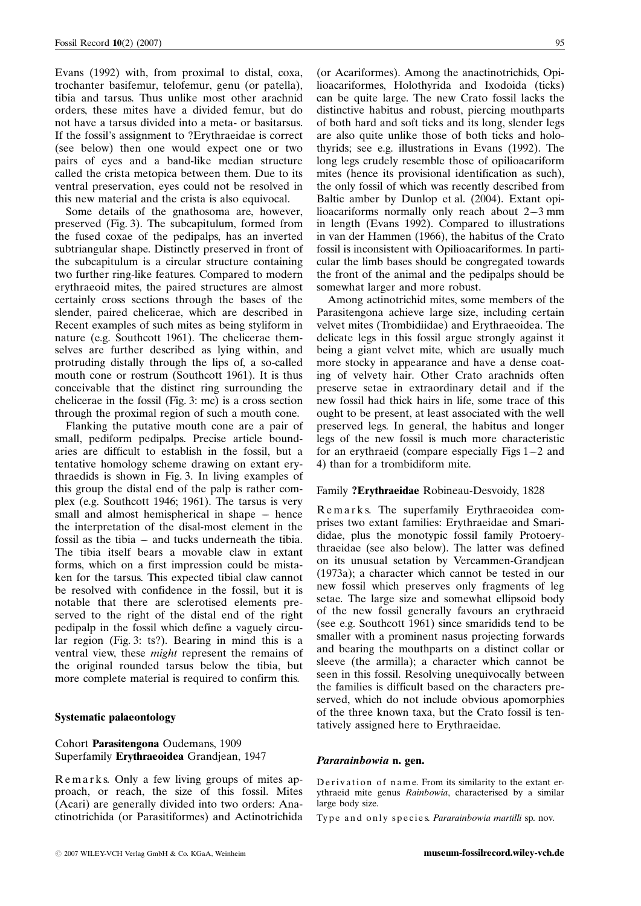Evans (1992) with, from proximal to distal, coxa, trochanter basifemur, telofemur, genu (or patella), tibia and tarsus. Thus unlike most other arachnid orders, these mites have a divided femur, but do not have a tarsus divided into a meta- or basitarsus. If the fossil's assignment to ?Erythraeidae is correct (see below) then one would expect one or two pairs of eyes and a band-like median structure called the crista metopica between them. Due to its ventral preservation, eyes could not be resolved in this new material and the crista is also equivocal.

Some details of the gnathosoma are, however, preserved (Fig. 3). The subcapitulum, formed from the fused coxae of the pedipalps, has an inverted subtriangular shape. Distinctly preserved in front of the subcapitulum is a circular structure containing two further ring-like features. Compared to modern erythraeoid mites, the paired structures are almost certainly cross sections through the bases of the slender, paired chelicerae, which are described in Recent examples of such mites as being styliform in nature (e.g. Southcott 1961). The chelicerae themselves are further described as lying within, and protruding distally through the lips of, a so-called mouth cone or rostrum (Southcott 1961). It is thus conceivable that the distinct ring surrounding the chelicerae in the fossil (Fig. 3: mc) is a cross section through the proximal region of such a mouth cone.

Flanking the putative mouth cone are a pair of small, pediform pedipalps. Precise article boundaries are difficult to establish in the fossil, but a tentative homology scheme drawing on extant erythraedids is shown in Fig. 3. In living examples of this group the distal end of the palp is rather complex (e.g. Southcott 1946; 1961). The tarsus is very small and almost hemispherical in shape  $-$  hence the interpretation of the disal-most element in the fossil as the tibia  $-$  and tucks underneath the tibia. The tibia itself bears a movable claw in extant forms, which on a first impression could be mistaken for the tarsus. This expected tibial claw cannot be resolved with confidence in the fossil, but it is notable that there are sclerotised elements preserved to the right of the distal end of the right pedipalp in the fossil which define a vaguely circular region (Fig. 3: ts?). Bearing in mind this is a ventral view, these might represent the remains of the original rounded tarsus below the tibia, but more complete material is required to confirm this.

## Systematic palaeontology

# Cohort Parasitengona Oudemans, 1909 Superfamily Erythraeoidea Grandjean, 1947

Remarks. Only a few living groups of mites approach, or reach, the size of this fossil. Mites (Acari) are generally divided into two orders: Anactinotrichida (or Parasitiformes) and Actinotrichida (or Acariformes). Among the anactinotrichids, Opilioacariformes, Holothyrida and Ixodoida (ticks) can be quite large. The new Crato fossil lacks the distinctive habitus and robust, piercing mouthparts of both hard and soft ticks and its long, slender legs are also quite unlike those of both ticks and holothyrids; see e.g. illustrations in Evans (1992). The long legs crudely resemble those of opilioacariform mites (hence its provisional identification as such), the only fossil of which was recently described from Baltic amber by Dunlop et al. (2004). Extant opilioacariforms normally only reach about  $2-3$  mm in length (Evans 1992). Compared to illustrations in van der Hammen (1966), the habitus of the Crato fossil is inconsistent with Opilioacariformes. In particular the limb bases should be congregated towards the front of the animal and the pedipalps should be somewhat larger and more robust.

Among actinotrichid mites, some members of the Parasitengona achieve large size, including certain velvet mites (Trombidiidae) and Erythraeoidea. The delicate legs in this fossil argue strongly against it being a giant velvet mite, which are usually much more stocky in appearance and have a dense coating of velvety hair. Other Crato arachnids often preserve setae in extraordinary detail and if the new fossil had thick hairs in life, some trace of this ought to be present, at least associated with the well preserved legs. In general, the habitus and longer legs of the new fossil is much more characteristic for an erythraeid (compare especially Figs  $1-2$  and 4) than for a trombidiform mite.

#### Family ?Erythraeidae Robineau-Desvoidy, 1828

Remarks. The superfamily Erythraeoidea comprises two extant families: Erythraeidae and Smarididae, plus the monotypic fossil family Protoerythraeidae (see also below). The latter was defined on its unusual setation by Vercammen-Grandjean (1973a); a character which cannot be tested in our new fossil which preserves only fragments of leg setae. The large size and somewhat ellipsoid body of the new fossil generally favours an erythraeid (see e.g. Southcott 1961) since smaridids tend to be smaller with a prominent nasus projecting forwards and bearing the mouthparts on a distinct collar or sleeve (the armilla); a character which cannot be seen in this fossil. Resolving unequivocally between the families is difficult based on the characters preserved, which do not include obvious apomorphies of the three known taxa, but the Crato fossil is tentatively assigned here to Erythraeidae.

#### Pararainbowia n. gen.

De rivation of name. From its similarity to the extant erythraeid mite genus Rainbowia, characterised by a similar large body size.

Type and only species. Pararainbowia martilli sp. nov.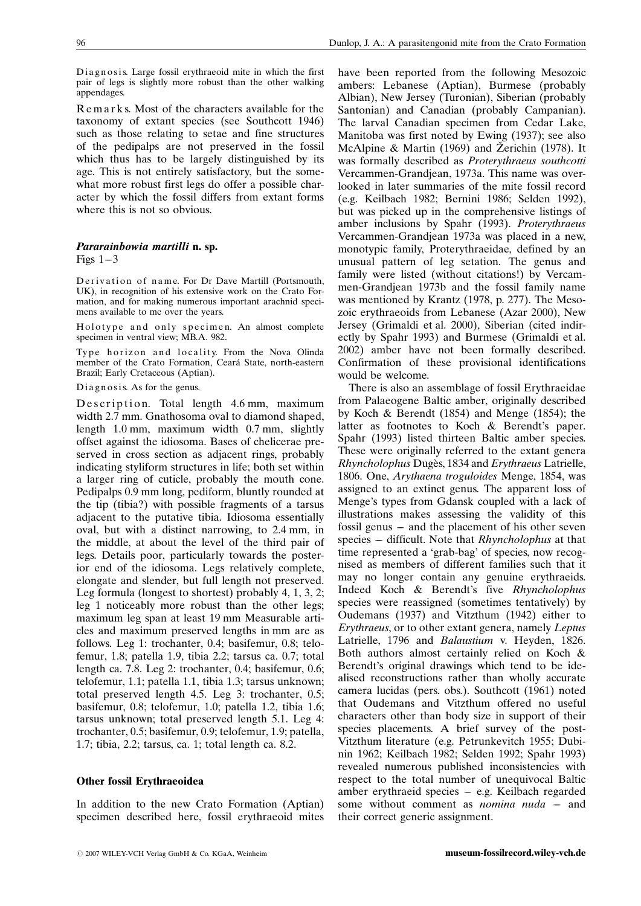Diagnosis. Large fossil erythraeoid mite in which the first pair of legs is slightly more robust than the other walking appendages.

Remarks. Most of the characters available for the taxonomy of extant species (see Southcott 1946) such as those relating to setae and fine structures of the pedipalps are not preserved in the fossil which thus has to be largely distinguished by its age. This is not entirely satisfactory, but the somewhat more robust first legs do offer a possible character by which the fossil differs from extant forms where this is not so obvious.

# Pararainbowia martilli n. sp.

Figs  $1-3$ 

Derivation of name. For Dr Dave Martill (Portsmouth, UK), in recognition of his extensive work on the Crato Formation, and for making numerous important arachnid specimens available to me over the years.

Holotvpe and only specimen. An almost complete specimen in ventral view; MB.A. 982.

Type horizon and locality. From the Nova Olinda member of the Crato Formation, Ceara´ State, north-eastern Brazil; Early Cretaceous (Aptian).

Diagnosis. As for the genus.

Description. Total length 4.6 mm, maximum width 2.7 mm. Gnathosoma oval to diamond shaped, length 1.0 mm, maximum width 0.7 mm, slightly offset against the idiosoma. Bases of chelicerae preserved in cross section as adjacent rings, probably indicating styliform structures in life; both set within a larger ring of cuticle, probably the mouth cone. Pedipalps 0.9 mm long, pediform, bluntly rounded at the tip (tibia?) with possible fragments of a tarsus adjacent to the putative tibia. Idiosoma essentially oval, but with a distinct narrowing, to 2.4 mm, in the middle, at about the level of the third pair of legs. Details poor, particularly towards the posterior end of the idiosoma. Legs relatively complete, elongate and slender, but full length not preserved. Leg formula (longest to shortest) probably 4, 1, 3, 2; leg 1 noticeably more robust than the other legs; maximum leg span at least 19 mm Measurable articles and maximum preserved lengths in mm are as follows. Leg 1: trochanter, 0.4; basifemur, 0.8; telofemur, 1.8; patella 1.9, tibia 2.2; tarsus ca. 0.7; total length ca. 7.8. Leg 2: trochanter, 0.4; basifemur, 0.6; telofemur, 1.1; patella 1.1, tibia 1.3; tarsus unknown; total preserved length 4.5. Leg 3: trochanter, 0.5; basifemur, 0.8; telofemur, 1.0; patella 1.2, tibia 1.6; tarsus unknown; total preserved length 5.1. Leg 4: trochanter, 0.5; basifemur, 0.9; telofemur, 1.9; patella, 1.7; tibia, 2.2; tarsus, ca. 1; total length ca. 8.2.

## Other fossil Erythraeoidea

In addition to the new Crato Formation (Aptian) specimen described here, fossil erythraeoid mites

have been reported from the following Mesozoic ambers: Lebanese (Aptian), Burmese (probably Albian), New Jersey (Turonian), Siberian (probably Santonian) and Canadian (probably Campanian). The larval Canadian specimen from Cedar Lake, Manitoba was first noted by Ewing (1937); see also McAlpine & Martin (1969) and Žerichin (1978). It was formally described as Proterythraeus southcotti Vercammen-Grandjean, 1973a. This name was overlooked in later summaries of the mite fossil record (e.g. Keilbach 1982; Bernini 1986; Selden 1992), but was picked up in the comprehensive listings of amber inclusions by Spahr (1993). Proterythraeus Vercammen-Grandjean 1973a was placed in a new, monotypic family, Proterythraeidae, defined by an unusual pattern of leg setation. The genus and family were listed (without citations!) by Vercammen-Grandjean 1973b and the fossil family name was mentioned by Krantz (1978, p. 277). The Mesozoic erythraeoids from Lebanese (Azar 2000), New Jersey (Grimaldi et al. 2000), Siberian (cited indirectly by Spahr 1993) and Burmese (Grimaldi et al. 2002) amber have not been formally described. Confirmation of these provisional identifications would be welcome.

There is also an assemblage of fossil Erythraeidae from Palaeogene Baltic amber, originally described by Koch & Berendt (1854) and Menge (1854); the latter as footnotes to Koch & Berendt's paper. Spahr (1993) listed thirteen Baltic amber species. These were originally referred to the extant genera Rhyncholophus Dugès, 1834 and Erythraeus Latrielle, 1806. One, Arythaena troguloides Menge, 1854, was assigned to an extinct genus. The apparent loss of Menge's types from Gdansk coupled with a lack of illustrations makes assessing the validity of this fossil genus –– and the placement of his other seven species – difficult. Note that *Rhyncholophus* at that time represented a 'grab-bag' of species, now recognised as members of different families such that it may no longer contain any genuine erythraeids. Indeed Koch & Berendt's five Rhyncholophus species were reassigned (sometimes tentatively) by Oudemans (1937) and Vitzthum (1942) either to Erythraeus, or to other extant genera, namely Leptus Latrielle, 1796 and Balaustium v. Heyden, 1826. Both authors almost certainly relied on Koch & Berendt's original drawings which tend to be idealised reconstructions rather than wholly accurate camera lucidas (pers. obs.). Southcott (1961) noted that Oudemans and Vitzthum offered no useful characters other than body size in support of their species placements. A brief survey of the post-Vitzthum literature (e.g. Petrunkevitch 1955; Dubinin 1962; Keilbach 1982; Selden 1992; Spahr 1993) revealed numerous published inconsistencies with respect to the total number of unequivocal Baltic amber erythraeid species –– e.g. Keilbach regarded some without comment as *nomina nuda*  $-$  and their correct generic assignment.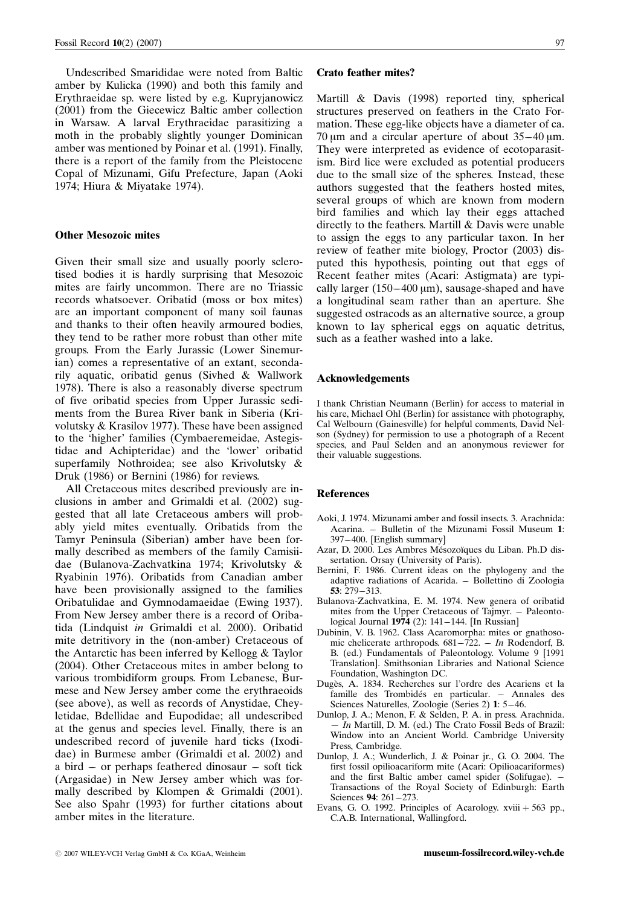Undescribed Smarididae were noted from Baltic amber by Kulicka (1990) and both this family and Erythraeidae sp. were listed by e.g. Kupryjanowicz (2001) from the Giecewicz Baltic amber collection in Warsaw. A larval Erythraeidae parasitizing a moth in the probably slightly younger Dominican amber was mentioned by Poinar et al. (1991). Finally, there is a report of the family from the Pleistocene Copal of Mizunami, Gifu Prefecture, Japan (Aoki 1974; Hiura & Miyatake 1974).

# Other Mesozoic mites

Given their small size and usually poorly sclerotised bodies it is hardly surprising that Mesozoic mites are fairly uncommon. There are no Triassic records whatsoever. Oribatid (moss or box mites) are an important component of many soil faunas and thanks to their often heavily armoured bodies, they tend to be rather more robust than other mite groups. From the Early Jurassic (Lower Sinemurian) comes a representative of an extant, secondarily aquatic, oribatid genus (Sivhed & Wallwork 1978). There is also a reasonably diverse spectrum of five oribatid species from Upper Jurassic sediments from the Burea River bank in Siberia (Krivolutsky & Krasilov 1977). These have been assigned to the 'higher' families (Cymbaeremeidae, Astegistidae and Achipteridae) and the 'lower' oribatid superfamily Nothroidea; see also Krivolutsky & Druk (1986) or Bernini (1986) for reviews.

All Cretaceous mites described previously are inclusions in amber and Grimaldi et al. (2002) suggested that all late Cretaceous ambers will probably yield mites eventually. Oribatids from the Tamyr Peninsula (Siberian) amber have been formally described as members of the family Camisiidae (Bulanova-Zachvatkina 1974; Krivolutsky & Ryabinin 1976). Oribatids from Canadian amber have been provisionally assigned to the families Oribatulidae and Gymnodamaeidae (Ewing 1937). From New Jersey amber there is a record of Oribatida (Lindquist in Grimaldi et al. 2000). Oribatid mite detritivory in the (non-amber) Cretaceous of the Antarctic has been inferred by Kellogg & Taylor (2004). Other Cretaceous mites in amber belong to various trombidiform groups. From Lebanese, Burmese and New Jersey amber come the erythraeoids (see above), as well as records of Anystidae, Cheyletidae, Bdellidae and Eupodidae; all undescribed at the genus and species level. Finally, there is an undescribed record of juvenile hard ticks (Ixodidae) in Burmese amber (Grimaldi et al. 2002) and a bird – or perhaps feathered dinosaur – soft tick (Argasidae) in New Jersey amber which was formally described by Klompen & Grimaldi (2001). See also Spahr (1993) for further citations about amber mites in the literature.

#### Crato feather mites?

Martill & Davis (1998) reported tiny, spherical structures preserved on feathers in the Crato Formation. These egg-like objects have a diameter of ca. 70  $\mu$ m and a circular aperture of about 35–40  $\mu$ m. They were interpreted as evidence of ecotoparasitism. Bird lice were excluded as potential producers due to the small size of the spheres. Instead, these authors suggested that the feathers hosted mites, several groups of which are known from modern bird families and which lay their eggs attached directly to the feathers. Martill & Davis were unable to assign the eggs to any particular taxon. In her review of feather mite biology, Proctor (2003) disputed this hypothesis, pointing out that eggs of Recent feather mites (Acari: Astigmata) are typically larger  $(150-400 \,\mu m)$ , sausage-shaped and have a longitudinal seam rather than an aperture. She suggested ostracods as an alternative source, a group known to lay spherical eggs on aquatic detritus, such as a feather washed into a lake.

## Acknowledgements

I thank Christian Neumann (Berlin) for access to material in his care, Michael Ohl (Berlin) for assistance with photography, Cal Welbourn (Gainesville) for helpful comments, David Nelson (Sydney) for permission to use a photograph of a Recent species, and Paul Selden and an anonymous reviewer for their valuable suggestions.

#### References

- Aoki, J. 1974. Mizunami amber and fossil insects. 3. Arachnida: Acarina. –– Bulletin of the Mizunami Fossil Museum 1: 397––400. [English summary]
- Azar, D. 2000. Les Ambres Mésozoïques du Liban. Ph.D dissertation. Orsay (University of Paris).
- Bernini, F. 1986. Current ideas on the phylogeny and the adaptive radiations of Acarida. –– Bollettino di Zoologia 53: 279––313.
- Bulanova-Zachvatkina, E. M. 1974. New genera of oribatid mites from the Upper Cretaceous of Tajmyr. –– Paleontological Journal  $1974$  (2): 141-144. [In Russian]
- Dubinin, V. B. 1962. Class Acaromorpha: mites or gnathosomic chelicerate arthropods.  $681-\overline{722}$ . – In Rodendorf, B. B. (ed.) Fundamentals of Paleontology. Volume 9 [1991 Translation]. Smithsonian Libraries and National Science Foundation, Washington DC.
- Dugès, A. 1834. Recherches sur l'ordre des Acariens et la famille des Trombidés en particular. – Annales des Sciences Naturelles, Zoologie (Series 2) 1: 5––46.
- Dunlop, J. A.; Menon, F. & Selden, P. A. in press. Arachnida.  $-$  In Martill, D. M. (ed.) The Crato Fossil Beds of Brazil: Window into an Ancient World. Cambridge University Press, Cambridge.
- Dunlop, J. A.; Wunderlich, J. & Poinar jr., G. O. 2004. The first fossil opilioacariform mite (Acari: Opilioacariformes) and the first Baltic amber camel spider (Solifugae). –– Transactions of the Royal Society of Edinburgh: Earth Sciences 94: 261-273.
- Evans, G. O. 1992. Principles of Acarology. xviii  $+563$  pp., C.A.B. International, Wallingford.